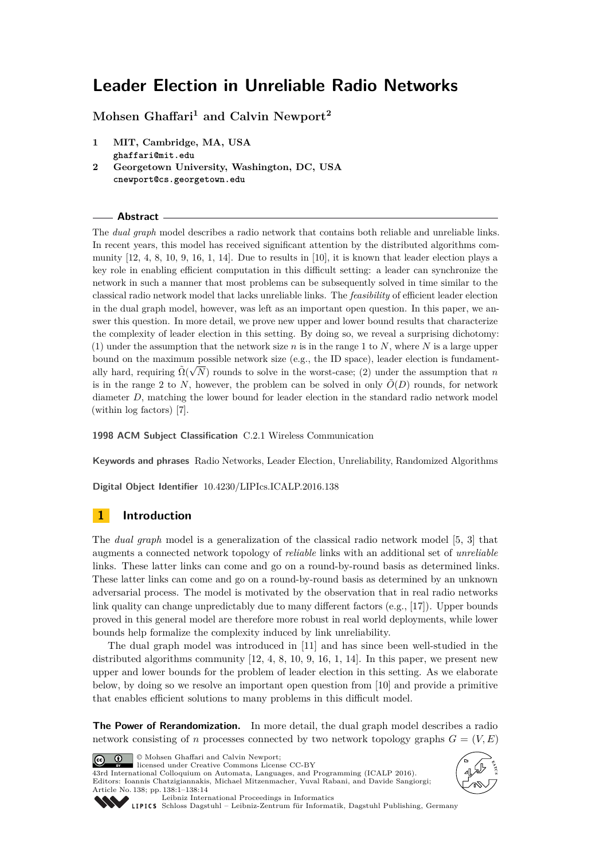# **Leader Election in Unreliable Radio Networks**

**Mohsen Ghaffari<sup>1</sup> and Calvin Newport<sup>2</sup>**

- **1 MIT, Cambridge, MA, USA ghaffari@mit.edu**
- **2 Georgetown University, Washington, DC, USA cnewport@cs.georgetown.edu**

#### **Abstract**

The *dual graph* model describes a radio network that contains both reliable and unreliable links. In recent years, this model has received significant attention by the distributed algorithms community  $[12, 4, 8, 10, 9, 16, 1, 14]$  $[12, 4, 8, 10, 9, 16, 1, 14]$  $[12, 4, 8, 10, 9, 16, 1, 14]$  $[12, 4, 8, 10, 9, 16, 1, 14]$  $[12, 4, 8, 10, 9, 16, 1, 14]$  $[12, 4, 8, 10, 9, 16, 1, 14]$  $[12, 4, 8, 10, 9, 16, 1, 14]$  $[12, 4, 8, 10, 9, 16, 1, 14]$ . Due to results in  $[10]$ , it is known that leader election plays a key role in enabling efficient computation in this difficult setting: a leader can synchronize the network in such a manner that most problems can be subsequently solved in time similar to the classical radio network model that lacks unreliable links. The *feasibility* of efficient leader election in the dual graph model, however, was left as an important open question. In this paper, we answer this question. In more detail, we prove new upper and lower bound results that characterize the complexity of leader election in this setting. By doing so, we reveal a surprising dichotomy: (1) under the assumption that the network size *n* is in the range 1 to *N*, where *N* is a large upper bound on the maximum possible network size (e.g., the ID space), leader election is fundamentally hard, requiring  $\tilde{\Omega}(\sqrt{N})$  rounds to solve in the worst-case; (2) under the assumption that *n* is in the range 2 to *N*, however, the problem can be solved in only  $\tilde{O}(D)$  rounds, for network diameter *D*, matching the lower bound for leader election in the standard radio network model (within log factors) [\[7\]](#page-12-5).

**1998 ACM Subject Classification** C.2.1 Wireless Communication

**Keywords and phrases** Radio Networks, Leader Election, Unreliability, Randomized Algorithms

**Digital Object Identifier** [10.4230/LIPIcs.ICALP.2016.138](http://dx.doi.org/10.4230/LIPIcs.ICALP.2016.138)

## **1 Introduction**

The *dual graph* model is a generalization of the classical radio network model [\[5,](#page-12-6) [3\]](#page-12-7) that augments a connected network topology of *reliable* links with an additional set of *unreliable* links. These latter links can come and go on a round-by-round basis as determined links. These latter links can come and go on a round-by-round basis as determined by an unknown adversarial process. The model is motivated by the observation that in real radio networks link quality can change unpredictably due to many different factors (e.g., [\[17\]](#page-13-3)). Upper bounds proved in this general model are therefore more robust in real world deployments, while lower bounds help formalize the complexity induced by link unreliability.

The dual graph model was introduced in [\[11\]](#page-12-8) and has since been well-studied in the distributed algorithms community  $[12, 4, 8, 10, 9, 16, 1, 14]$  $[12, 4, 8, 10, 9, 16, 1, 14]$  $[12, 4, 8, 10, 9, 16, 1, 14]$  $[12, 4, 8, 10, 9, 16, 1, 14]$  $[12, 4, 8, 10, 9, 16, 1, 14]$  $[12, 4, 8, 10, 9, 16, 1, 14]$  $[12, 4, 8, 10, 9, 16, 1, 14]$  $[12, 4, 8, 10, 9, 16, 1, 14]$  $[12, 4, 8, 10, 9, 16, 1, 14]$  $[12, 4, 8, 10, 9, 16, 1, 14]$  $[12, 4, 8, 10, 9, 16, 1, 14]$  $[12, 4, 8, 10, 9, 16, 1, 14]$  $[12, 4, 8, 10, 9, 16, 1, 14]$  $[12, 4, 8, 10, 9, 16, 1, 14]$  $[12, 4, 8, 10, 9, 16, 1, 14]$ . In this paper, we present new upper and lower bounds for the problem of leader election in this setting. As we elaborate below, by doing so we resolve an important open question from [\[10\]](#page-12-2) and provide a primitive that enables efficient solutions to many problems in this difficult model.

**The Power of Rerandomization.** In more detail, the dual graph model describes a radio network consisting of *n* processes connected by two network topology graphs  $G = (V, E)$ 

<u>@\_0</u>

© Mohsen Ghaffari and Calvin Newport; licensed under Creative Commons License CC-BY

43rd International Colloquium on Automata, Languages, and Programming (ICALP 2016). Editors: Ioannis Chatzigiannakis, Michael Mitzenmacher, Yuval Rabani, and Davide Sangiorgi; Article No. 138; pp. 138:1–138[:14](#page-13-4)





[Leibniz International Proceedings in Informatics](http://www.dagstuhl.de/lipics/)

[Schloss Dagstuhl – Leibniz-Zentrum für Informatik, Dagstuhl Publishing, Germany](http://www.dagstuhl.de)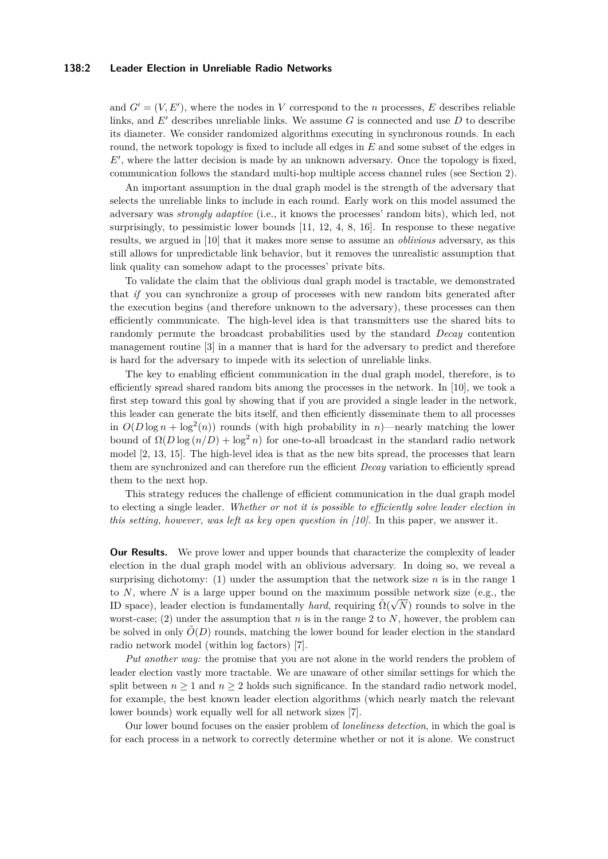#### **138:2 Leader Election in Unreliable Radio Networks**

and  $G' = (V, E')$ , where the nodes in *V* correspond to the *n* processes, *E* describes reliable links, and  $E'$  describes unreliable links. We assume  $G$  is connected and use  $D$  to describe its diameter. We consider randomized algorithms executing in synchronous rounds. In each round, the network topology is fixed to include all edges in *E* and some subset of the edges in E', where the latter decision is made by an unknown adversary. Once the topology is fixed, communication follows the standard multi-hop multiple access channel rules (see Section [2\)](#page-2-0).

An important assumption in the dual graph model is the strength of the adversary that selects the unreliable links to include in each round. Early work on this model assumed the adversary was *strongly adaptive* (i.e., it knows the processes' random bits), which led, not surprisingly, to pessimistic lower bounds [\[11,](#page-12-8) [12,](#page-13-0) [4,](#page-12-0) [8,](#page-12-1) [16\]](#page-13-1). In response to these negative results, we argued in [\[10\]](#page-12-2) that it makes more sense to assume an *oblivious* adversary, as this still allows for unpredictable link behavior, but it removes the unrealistic assumption that link quality can somehow adapt to the processes' private bits.

To validate the claim that the oblivious dual graph model is tractable, we demonstrated that *if* you can synchronize a group of processes with new random bits generated after the execution begins (and therefore unknown to the adversary), these processes can then efficiently communicate. The high-level idea is that transmitters use the shared bits to randomly permute the broadcast probabilities used by the standard *Decay* contention management routine [\[3\]](#page-12-7) in a manner that is hard for the adversary to predict and therefore is hard for the adversary to impede with its selection of unreliable links.

The key to enabling efficient communication in the dual graph model, therefore, is to efficiently spread shared random bits among the processes in the network. In [\[10\]](#page-12-2), we took a first step toward this goal by showing that if you are provided a single leader in the network, this leader can generate the bits itself, and then efficiently disseminate them to all processes in  $O(D \log n + \log^2(n))$  rounds (with high probability in *n*)—nearly matching the lower bound of  $\Omega(D \log(n/D) + \log^2 n)$  for one-to-all broadcast in the standard radio network model [\[2,](#page-12-9) [13,](#page-13-5) [15\]](#page-13-6). The high-level idea is that as the new bits spread, the processes that learn them are synchronized and can therefore run the efficient *Decay* variation to efficiently spread them to the next hop.

This strategy reduces the challenge of efficient communication in the dual graph model to electing a single leader. *Whether or not it is possible to efficiently solve leader election in this setting, however, was left as key open question in [\[10\]](#page-12-2).* In this paper, we answer it.

**Our Results.** We prove lower and upper bounds that characterize the complexity of leader election in the dual graph model with an oblivious adversary. In doing so, we reveal a surprising dichotomy: (1) under the assumption that the network size *n* is in the range 1 to *N*, where *N* is a large upper bound on the maximum possible network size (e.g., the ID space), leader election is fundamentally *hard*, requiring  $\tilde{\Omega}(\sqrt{N})$  rounds to solve in the worst-case; (2) under the assumption that  $n$  is in the range 2 to  $N$ , however, the problem can be solved in only  $O(D)$  rounds, matching the lower bound for leader election in the standard radio network model (within log factors) [\[7\]](#page-12-5).

*Put another way:* the promise that you are not alone in the world renders the problem of leader election vastly more tractable. We are unaware of other similar settings for which the split between  $n \geq 1$  and  $n \geq 2$  holds such significance. In the standard radio network model, for example, the best known leader election algorithms (which nearly match the relevant lower bounds) work equally well for all network sizes [\[7\]](#page-12-5).

Our lower bound focuses on the easier problem of *loneliness detection*, in which the goal is for each process in a network to correctly determine whether or not it is alone. We construct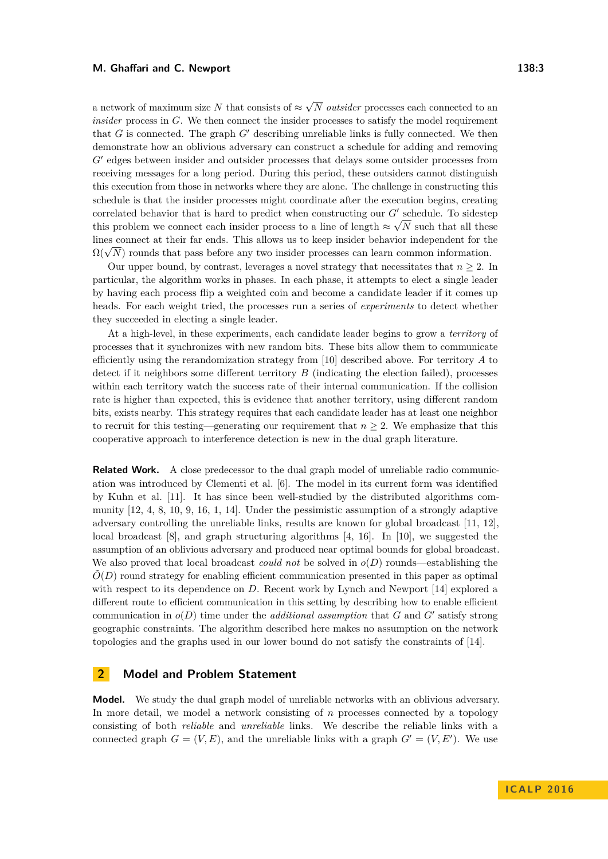#### **M. Ghaffari and C. Newport 138:3**

a network of maximum size  $N$  that consists of  $\approx$ √ *N outsider* processes each connected to an *insider* process in *G*. We then connect the insider processes to satisfy the model requirement that *G* is connected. The graph  $G'$  describing unreliable links is fully connected. We then demonstrate how an oblivious adversary can construct a schedule for adding and removing G' edges between insider and outsider processes that delays some outsider processes from receiving messages for a long period. During this period, these outsiders cannot distinguish this execution from those in networks where they are alone. The challenge in constructing this schedule is that the insider processes might coordinate after the execution begins, creating correlated behavior that is hard to predict when constructing our  $G'$  schedule. To sidestep this problem we connect each insider process to a line of length  $\approx \sqrt{N}$  such that all these lines connect at their far ends. This allows us to keep insider behavior independent for the  $\Omega(\sqrt{N})$  rounds that pass before any two insider processes can learn common information.

Our upper bound, by contrast, leverages a novel strategy that necessitates that  $n \geq 2$ . In particular, the algorithm works in phases. In each phase, it attempts to elect a single leader by having each process flip a weighted coin and become a candidate leader if it comes up heads. For each weight tried, the processes run a series of *experiments* to detect whether they succeeded in electing a single leader.

At a high-level, in these experiments, each candidate leader begins to grow a *territory* of processes that it synchronizes with new random bits. These bits allow them to communicate efficiently using the rerandomization strategy from [\[10\]](#page-12-2) described above. For territory *A* to detect if it neighbors some different territory *B* (indicating the election failed), processes within each territory watch the success rate of their internal communication. If the collision rate is higher than expected, this is evidence that another territory, using different random bits, exists nearby. This strategy requires that each candidate leader has at least one neighbor to recruit for this testing—generating our requirement that *n* ≥ 2. We emphasize that this cooperative approach to interference detection is new in the dual graph literature.

**Related Work.** A close predecessor to the dual graph model of unreliable radio communication was introduced by Clementi et al. [\[6\]](#page-12-10). The model in its current form was identified by Kuhn et al. [\[11\]](#page-12-8). It has since been well-studied by the distributed algorithms community [\[12,](#page-13-0) [4,](#page-12-0) [8,](#page-12-1) [10,](#page-12-2) [9,](#page-12-3) [16,](#page-13-1) [1,](#page-12-4) [14\]](#page-13-2). Under the pessimistic assumption of a strongly adaptive adversary controlling the unreliable links, results are known for global broadcast [\[11,](#page-12-8) [12\]](#page-13-0), local broadcast [\[8\]](#page-12-1), and graph structuring algorithms [\[4,](#page-12-0) [16\]](#page-13-1). In [\[10\]](#page-12-2), we suggested the assumption of an oblivious adversary and produced near optimal bounds for global broadcast. We also proved that local broadcast *could not* be solved in *o*(*D*) rounds—establishing the  $\tilde{O}(D)$  round strategy for enabling efficient communication presented in this paper as optimal with respect to its dependence on *D*. Recent work by Lynch and Newport [\[14\]](#page-13-2) explored a different route to efficient communication in this setting by describing how to enable efficient communication in  $o(D)$  time under the *additional assumption* that  $G$  and  $G'$  satisfy strong geographic constraints. The algorithm described here makes no assumption on the network topologies and the graphs used in our lower bound do not satisfy the constraints of [\[14\]](#page-13-2).

## <span id="page-2-0"></span>**2 Model and Problem Statement**

**Model.** We study the dual graph model of unreliable networks with an oblivious adversary. In more detail, we model a network consisting of *n* processes connected by a topology consisting of both *reliable* and *unreliable* links. We describe the reliable links with a connected graph  $G = (V, E)$ , and the unreliable links with a graph  $G' = (V, E')$ . We use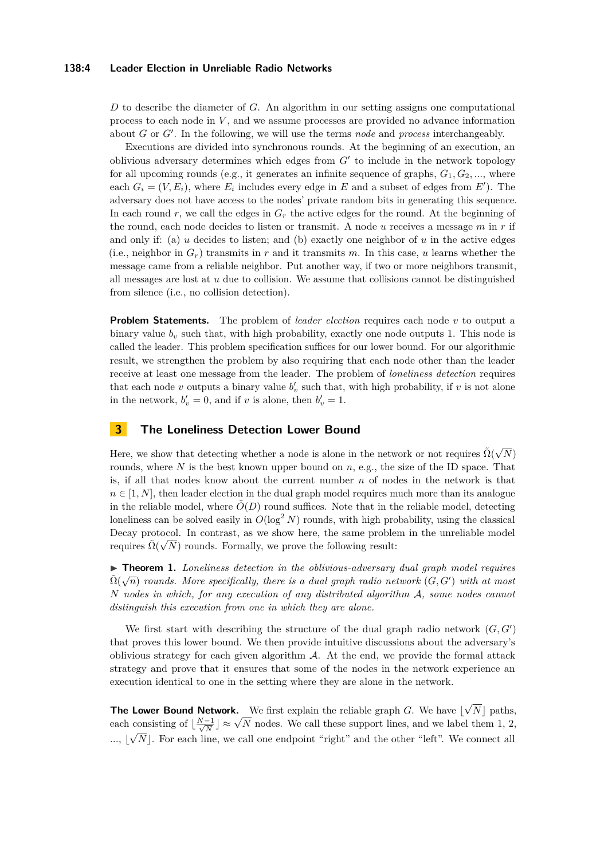#### **138:4 Leader Election in Unreliable Radio Networks**

*D* to describe the diameter of *G*. An algorithm in our setting assigns one computational process to each node in *V* , and we assume processes are provided no advance information about *G* or *G'*. In the following, we will use the terms *node* and *process* interchangeably.

Executions are divided into synchronous rounds. At the beginning of an execution, an oblivious adversary determines which edges from  $G'$  to include in the network topology for all upcoming rounds (e.g., it generates an infinite sequence of graphs,  $G_1, G_2, \ldots$ , where each  $G_i = (V, E_i)$ , where  $E_i$  includes every edge in  $E$  and a subset of edges from  $E'$ ). The adversary does not have access to the nodes' private random bits in generating this sequence. In each round  $r$ , we call the edges in  $G_r$  the active edges for the round. At the beginning of the round, each node decides to listen or transmit. A node *u* receives a message *m* in *r* if and only if: (a)  $u$  decides to listen; and (b) exactly one neighbor of  $u$  in the active edges (i.e., neighbor in  $G_r$ ) transmits in *r* and it transmits *m*. In this case, *u* learns whether the message came from a reliable neighbor. Put another way, if two or more neighbors transmit, all messages are lost at *u* due to collision. We assume that collisions cannot be distinguished from silence (i.e., no collision detection).

**Problem Statements.** The problem of *leader election* requires each node *v* to output a binary value  $b<sub>v</sub>$  such that, with high probability, exactly one node outputs 1. This node is called the leader. This problem specification suffices for our lower bound. For our algorithmic result, we strengthen the problem by also requiring that each node other than the leader receive at least one message from the leader. The problem of *loneliness detection* requires that each node *v* outputs a binary value  $b'_v$  such that, with high probability, if *v* is not alone in the network,  $b'_v = 0$ , and if *v* is alone, then  $b'_v = 1$ .

## **3 The Loneliness Detection Lower Bound**

Here, we show that detecting whether a node is alone in the network or not requires  $\tilde{\Omega}(\sqrt{2})$ *N*) rounds, where  $N$  is the best known upper bound on  $n$ , e.g., the size of the ID space. That is, if all that nodes know about the current number *n* of nodes in the network is that  $n \in [1, N]$ , then leader election in the dual graph model requires much more than its analogue in the reliable model, where  $\tilde{O}(D)$  round suffices. Note that in the reliable model, detecting loneliness can be solved easily in  $O(\log^2 N)$  rounds, with high probability, using the classical Decay protocol. In contrast, as we show here, the same problem in the unreliable model requires  $\tilde{\Omega}(\sqrt{N})$  rounds. Formally, we prove the following result:

**► Theorem 1.** *Loneliness detection in the oblivious-adversary dual graph model requires*  $\tilde{\Omega}(\sqrt{n})$  *rounds. More specifically, there is a dual graph radio network*  $(G, G')$  *with at most N nodes in which, for any execution of any distributed algorithm* A*, some nodes cannot distinguish this execution from one in which they are alone.*

We first start with describing the structure of the dual graph radio network  $(G, G')$ that proves this lower bound. We then provide intuitive discussions about the adversary's oblivious strategy for each given algorithm  $A$ . At the end, we provide the formal attack strategy and prove that it ensures that some of the nodes in the network experience an execution identical to one in the setting where they are alone in the network.

**The Lower Bound Network.** We first explain the reliable graph  $G$ . We have  $\vert$ √  $N$  paths, **NE LOWER BOUND NETWORK.** We first explain the renable graph G. We have [V<sub>N</sub>] paths, each consisting of  $\left\lfloor \frac{N-1}{\sqrt{N}} \right\rfloor \approx \sqrt{N}$  nodes. We call these support lines, and we label them 1, 2,  $\ldots, |\sqrt{N}|$ . For each line, we call one endpoint "right" and the other "left". We connect all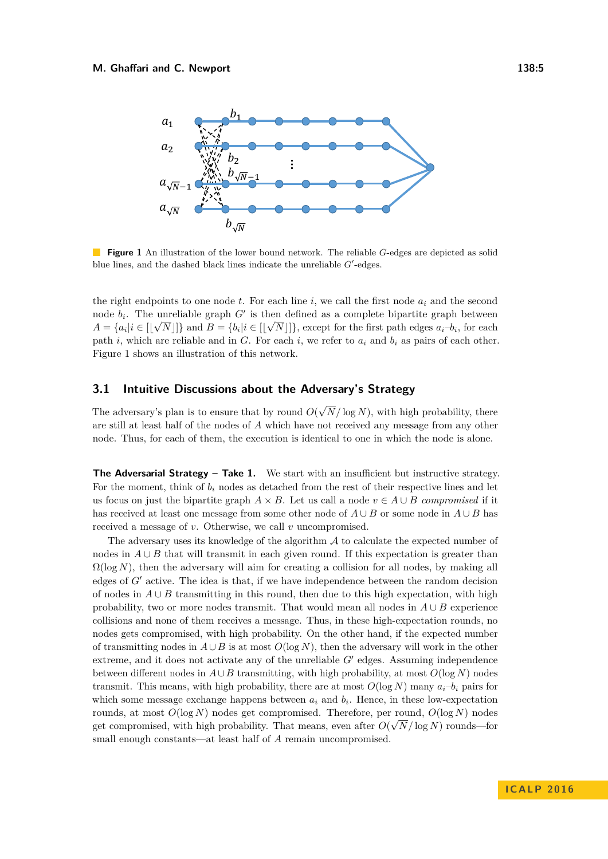<span id="page-4-0"></span>

**Figure 1** An illustration of the lower bound network. The reliable *G*-edges are depicted as solid blue lines, and the dashed black lines indicate the unreliable  $G'$ -edges.

the right endpoints to one node  $t$ . For each line  $i$ , we call the first node  $a_i$  and the second node  $b_i$ . The unreliable graph  $G'$  is then defined as a complete bipartite graph between  $A = \{a_i | i \in [\lfloor \sqrt{N} \rfloor] \}$  and  $B = \{b_i | i \in [\lfloor \sqrt{N} \rfloor] \}$ , except for the first path edges  $a_i - b_i$ , for each path *i*, which are reliable and in *G*. For each *i*, we refer to  $a_i$  and  $b_i$  as pairs of each other. Figure [1](#page-4-0) shows an illustration of this network.

#### **3.1 Intuitive Discussions about the Adversary's Strategy**

The adversary's plan is to ensure that by round *O*( √ *N /* log *N*), with high probability, there are still at least half of the nodes of *A* which have not received any message from any other node. Thus, for each of them, the execution is identical to one in which the node is alone.

The Adversarial Strategy - Take 1. We start with an insufficient but instructive strategy. For the moment, think of  $b_i$  nodes as detached from the rest of their respective lines and let us focus on just the bipartite graph  $A \times B$ . Let us call a node  $v \in A \cup B$  *compromised* if it has received at least one message from some other node of  $A \cup B$  or some node in  $A \cup B$  has received a message of *v*. Otherwise, we call *v* uncompromised.

The adversary uses its knowledge of the algorithm  $A$  to calculate the expected number of nodes in  $A \cup B$  that will transmit in each given round. If this expectation is greater than  $\Omega(\log N)$ , then the adversary will aim for creating a collision for all nodes, by making all edges of *G'* active. The idea is that, if we have independence between the random decision of nodes in  $A \cup B$  transmitting in this round, then due to this high expectation, with high probability, two or more nodes transmit. That would mean all nodes in  $A \cup B$  experience collisions and none of them receives a message. Thus, in these high-expectation rounds, no nodes gets compromised, with high probability. On the other hand, if the expected number of transmitting nodes in *A*∪*B* is at most *O*(log *N*), then the adversary will work in the other extreme, and it does not activate any of the unreliable  $G'$  edges. Assuming independence between different nodes in  $A \cup B$  transmitting, with high probability, at most  $O(\log N)$  nodes transmit. This means, with high probability, there are at most  $O(\log N)$  many  $a_i-b_i$  pairs for which some message exchange happens between  $a_i$  and  $b_i$ . Hence, in these low-expectation rounds, at most  $O(\log N)$  nodes get compromised. Therefore, per round,  $O(\log N)$  nodes get compromised, with high probability. That means, even after  $O(\sqrt{N}/\log N)$  rounds—for small enough constants—at least half of *A* remain uncompromised.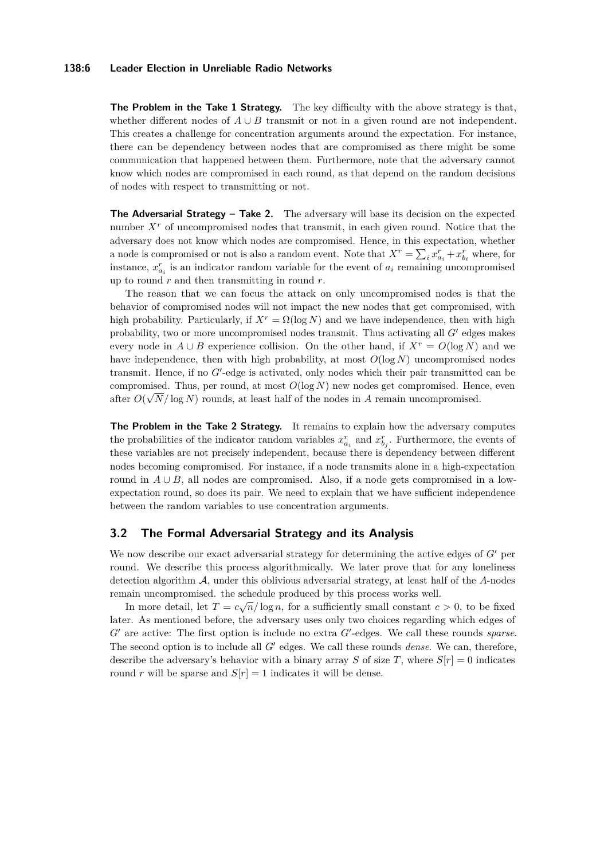#### **138:6 Leader Election in Unreliable Radio Networks**

**The Problem in the Take 1 Strategy.** The key difficulty with the above strategy is that, whether different nodes of  $A \cup B$  transmit or not in a given round are not independent. This creates a challenge for concentration arguments around the expectation. For instance, there can be dependency between nodes that are compromised as there might be some communication that happened between them. Furthermore, note that the adversary cannot know which nodes are compromised in each round, as that depend on the random decisions of nodes with respect to transmitting or not.

**The Adversarial Strategy – Take 2.** The adversary will base its decision on the expected number  $X<sup>r</sup>$  of uncompromised nodes that transmit, in each given round. Notice that the adversary does not know which nodes are compromised. Hence, in this expectation, whether a node is compromised or not is also a random event. Note that  $X^r = \sum_i x_{a_i}^r + x_{b_i}^r$  where, for instance,  $x_{a_i}^r$  is an indicator random variable for the event of  $a_i$  remaining uncompromised up to round *r* and then transmitting in round *r*.

The reason that we can focus the attack on only uncompromised nodes is that the behavior of compromised nodes will not impact the new nodes that get compromised, with high probability. Particularly, if  $X^r = \Omega(\log N)$  and we have independence, then with high probability, two or more uncompromised nodes transmit. Thus activating all  $G'$  edges makes every node in  $A \cup B$  experience collision. On the other hand, if  $X^r = O(\log N)$  and we have independence, then with high probability, at most  $O(\log N)$  uncompromised nodes transmit. Hence, if no G'-edge is activated, only nodes which their pair transmitted can be compromised. Thus, per round, at most  $O(\log N)$  new nodes get compromised. Hence, even after  $O(\sqrt{N/\log N})$  rounds, at least half of the nodes in A remain uncompromised.

**The Problem in the Take 2 Strategy.** It remains to explain how the adversary computes the probabilities of the indicator random variables  $x_{a_i}^r$  and  $x_{b_j}^r$ . Furthermore, the events of these variables are not precisely independent, because there is dependency between different nodes becoming compromised. For instance, if a node transmits alone in a high-expectation round in  $A \cup B$ , all nodes are compromised. Also, if a node gets compromised in a lowexpectation round, so does its pair. We need to explain that we have sufficient independence between the random variables to use concentration arguments.

## **3.2 The Formal Adversarial Strategy and its Analysis**

We now describe our exact adversarial strategy for determining the active edges of  $G<sup>0</sup>$  per round. We describe this process algorithmically. We later prove that for any loneliness detection algorithm A, under this oblivious adversarial strategy, at least half of the *A*-nodes remain uncompromised. the schedule produced by this process works well.

In more detail, let  $T = c\sqrt{n}/\log n$ , for a sufficiently small constant  $c > 0$ , to be fixed later. As mentioned before, the adversary uses only two choices regarding which edges of *G*<sup> $\prime$ </sup> are active: The first option is include no extra *G*<sup> $\prime$ </sup>-edges. We call these rounds *sparse*. The second option is to include all  $G'$  edges. We call these rounds *dense*. We can, therefore, describe the adversary's behavior with a binary array *S* of size *T*, where  $S[r] = 0$  indicates round *r* will be sparse and  $S[r] = 1$  indicates it will be dense.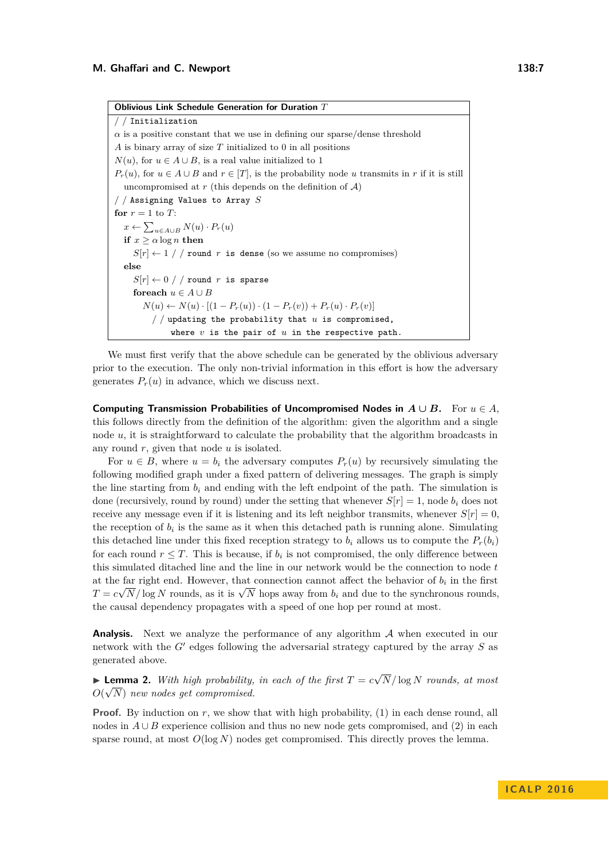**Oblivious Link Schedule Generation for Duration** *T* / / Initialization  $\alpha$  is a positive constant that we use in defining our sparse/dense threshold *A* is binary array of size *T* initialized to 0 in all positions *N*(*u*), for *u* ∈ *A* ∪ *B*, is a real value initialized to 1  $P_r(u)$ , for  $u \in A \cup B$  and  $r \in [T]$ , is the probability node *u* transmits in *r* if it is still uncompromised at  $r$  (this depends on the definition of  $A$ ) / / Assigning Values to Array *S* for  $r = 1$  to  $T$ :  $x \leftarrow \sum_{u \in A \cup B} N(u) \cdot P_r(u)$ **if**  $x > \alpha \log n$  **then**  $S[r] \leftarrow 1$  / / round *r* is dense (so we assume no compromises) **else**  $S[r] \leftarrow 0$  / / round *r* is sparse **for<br>each**  $u \in A \cup B$  $N(u) \leftarrow N(u) \cdot [(1 - P_r(u)) \cdot (1 - P_r(v)) + P_r(u) \cdot P_r(v)]$ / / updating the probability that *u* is compromised, where *v* is the pair of *u* in the respective path.

We must first verify that the above schedule can be generated by the oblivious adversary prior to the execution. The only non-trivial information in this effort is how the adversary generates  $P_r(u)$  in advance, which we discuss next.

**Computing Transmission Probabilities of Uncompromised Nodes in**  $A \cup B$ **.** For  $u \in A$ . this follows directly from the definition of the algorithm: given the algorithm and a single node *u*, it is straightforward to calculate the probability that the algorithm broadcasts in any round *r*, given that node *u* is isolated.

For  $u \in B$ , where  $u = b_i$  the adversary computes  $P_r(u)$  by recursively simulating the following modified graph under a fixed pattern of delivering messages. The graph is simply the line starting from  $b_i$  and ending with the left endpoint of the path. The simulation is done (recursively, round by round) under the setting that whenever  $S[r] = 1$ , node  $b_i$  does not receive any message even if it is listening and its left neighbor transmits, whenever  $S[r] = 0$ , the reception of  $b_i$  is the same as it when this detached path is running alone. Simulating this detached line under this fixed reception strategy to  $b_i$  allows us to compute the  $P_r(b_i)$ for each round  $r \leq T$ . This is because, if  $b_i$  is not compromised, the only difference between this simulated ditached line and the line in our network would be the connection to node *t* at the far right end. However, that connection cannot affect the behavior of  $b_i$  in the first at the lart right end. However, that connection cannot anect the behavior of  $v_i$  in the first  $T = c\sqrt{N}/\log N$  rounds, as it is  $\sqrt{N}$  hops away from  $b_i$  and due to the synchronous rounds, the causal dependency propagates with a speed of one hop per round at most.

**Analysis.** Next we analyze the performance of any algorithm A when executed in our network with the  $G'$  edges following the adversarial strategy captured by the array  $S$  as generated above.

**► Lemma 2.** *With high probability, in each of the first*  $T = c \sqrt{ }$ **Lemma 2.** With high probability, in each of the first  $T = c\sqrt{N/\log N}$  rounds, at most  $O(\sqrt{N})$  new nodes get compromised.

**Proof.** By induction on *r*, we show that with high probability, (1) in each dense round, all nodes in  $A \cup B$  experience collision and thus no new node gets compromised, and (2) in each sparse round, at most  $O(\log N)$  nodes get compromised. This directly proves the lemma.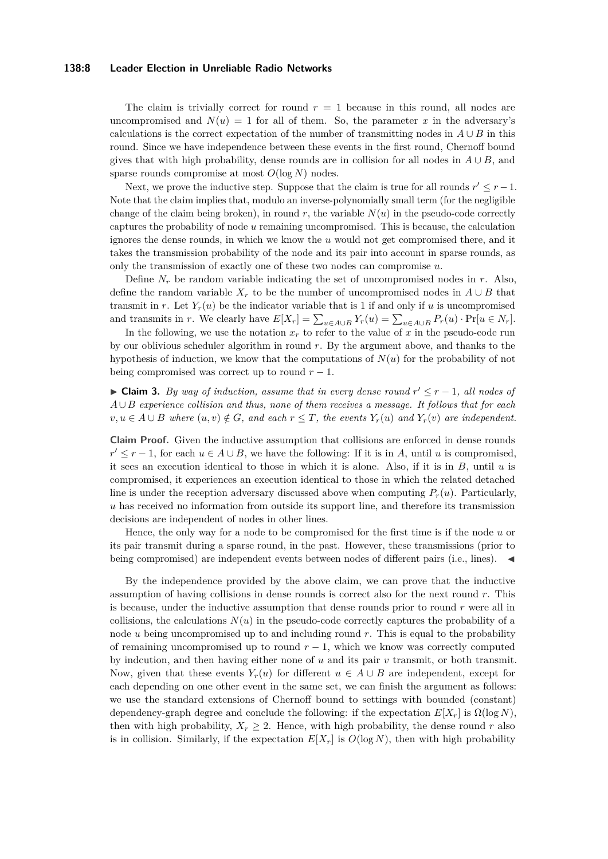#### **138:8 Leader Election in Unreliable Radio Networks**

The claim is trivially correct for round  $r = 1$  because in this round, all nodes are uncompromised and  $N(u) = 1$  for all of them. So, the parameter x in the adversary's calculations is the correct expectation of the number of transmitting nodes in  $A \cup B$  in this round. Since we have independence between these events in the first round, Chernoff bound gives that with high probability, dense rounds are in collision for all nodes in  $A \cup B$ , and sparse rounds compromise at most *O*(log *N*) nodes.

Next, we prove the inductive step. Suppose that the claim is true for all rounds  $r' \leq r - 1$ . Note that the claim implies that, modulo an inverse-polynomially small term (for the negligible change of the claim being broken), in round  $r$ , the variable  $N(u)$  in the pseudo-code correctly captures the probability of node *u* remaining uncompromised. This is because, the calculation ignores the dense rounds, in which we know the *u* would not get compromised there, and it takes the transmission probability of the node and its pair into account in sparse rounds, as only the transmission of exactly one of these two nodes can compromise *u*.

Define  $N_r$  be random variable indicating the set of uncompromised nodes in  $r$ . Also, define the random variable  $X_r$  to be the number of uncompromised nodes in  $A \cup B$  that transmit in *r*. Let  $Y_r(u)$  be the indicator variable that is 1 if and only if *u* is uncompromised and transmits in *r*. We clearly have  $E[X_r] = \sum_{u \in A \cup B} Y_r(u) = \sum_{u \in A \cup B} P_r(u) \cdot \Pr[u \in N_r].$ 

In the following, we use the notation  $x_r$  to refer to the value of  $x$  in the pseudo-code run by our oblivious scheduler algorithm in round *r*. By the argument above, and thanks to the hypothesis of induction, we know that the computations of *N*(*u*) for the probability of not being compromised was correct up to round  $r - 1$ .

► Claim 3. *By way of induction, assume that in every dense round*  $r' \leq r - 1$ , all nodes of *A* ∪ *B experience collision and thus, none of them receives a message. It follows that for each v*, *u* ∈ *A* ∪ *B where*  $(u, v) \notin G$ *, and each*  $r \leq T$ *, the events*  $Y_r(u)$  *and*  $Y_r(v)$  *are independent.* 

**Claim Proof.** Given the inductive assumption that collisions are enforced in dense rounds  $r' \leq r - 1$ , for each  $u \in A \cup B$ , we have the following: If it is in *A*, until *u* is compromised, it sees an execution identical to those in which it is alone. Also, if it is in *B*, until *u* is compromised, it experiences an execution identical to those in which the related detached line is under the reception adversary discussed above when computing  $P_r(u)$ . Particularly, *u* has received no information from outside its support line, and therefore its transmission decisions are independent of nodes in other lines.

Hence, the only way for a node to be compromised for the first time is if the node *u* or its pair transmit during a sparse round, in the past. However, these transmissions (prior to being compromised) are independent events between nodes of different pairs (i.e., lines).

By the independence provided by the above claim, we can prove that the inductive assumption of having collisions in dense rounds is correct also for the next round *r*. This is because, under the inductive assumption that dense rounds prior to round *r* were all in collisions, the calculations  $N(u)$  in the pseudo-code correctly captures the probability of a node *u* being uncompromised up to and including round *r*. This is equal to the probability of remaining uncompromised up to round  $r - 1$ , which we know was correctly computed by indcution, and then having either none of *u* and its pair *v* transmit, or both transmit. Now, given that these events  $Y_r(u)$  for different  $u \in A \cup B$  are independent, except for each depending on one other event in the same set, we can finish the argument as follows: we use the standard extensions of Chernoff bound to settings with bounded (constant) dependency-graph degree and conclude the following: if the expectation  $E[X_r]$  is  $\Omega(\log N)$ , then with high probability,  $X_r \geq 2$ . Hence, with high probability, the dense round *r* also is in collision. Similarly, if the expectation  $E[X_r]$  is  $O(\log N)$ , then with high probability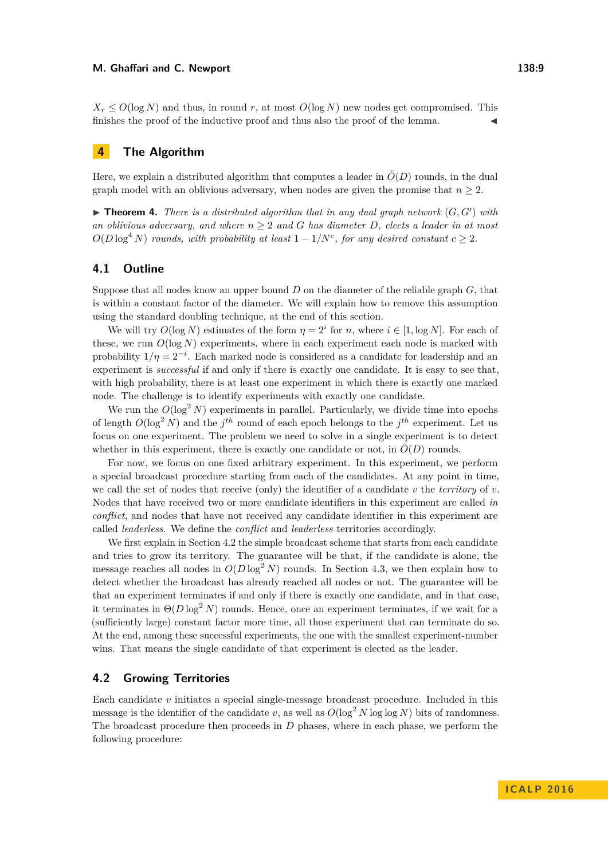$X_r \leq O(\log N)$  and thus, in round *r*, at most  $O(\log N)$  new nodes get compromised. This finishes the proof of the inductive proof and thus also the proof of the lemma.

## **4 The Algorithm**

Here, we explain a distributed algorithm that computes a leader in  $\tilde{O}(D)$  rounds, in the dual graph model with an oblivious adversary, when nodes are given the promise that  $n \geq 2$ .

 $\blacktriangleright$  **Theorem 4.** *There is a distributed algorithm that in any dual graph network*  $(G, G')$  *with an oblivious adversary, and where n* ≥ 2 *and G has diameter D, elects a leader in at most*  $O(D \log^4 N)$  *rounds, with probability at least*  $1 - 1/N^c$ , *for any desired constant*  $c \geq 2$ *.* 

## **4.1 Outline**

Suppose that all nodes know an upper bound *D* on the diameter of the reliable graph *G*, that is within a constant factor of the diameter. We will explain how to remove this assumption using the standard doubling technique, at the end of this section.

We will try  $O(\log N)$  estimates of the form  $\eta = 2^i$  for *n*, where  $i \in [1, \log N]$ . For each of these, we run  $O(\log N)$  experiments, where in each experiment each node is marked with probability  $1/\eta = 2^{-i}$ . Each marked node is considered as a candidate for leadership and an experiment is *successful* if and only if there is exactly one candidate. It is easy to see that, with high probability, there is at least one experiment in which there is exactly one marked node. The challenge is to identify experiments with exactly one candidate.

We run the  $O(\log^2 N)$  experiments in parallel. Particularly, we divide time into epochs of length  $O(\log^2 N)$  and the  $j^{th}$  round of each epoch belongs to the  $j^{th}$  experiment. Let us focus on one experiment. The problem we need to solve in a single experiment is to detect whether in this experiment, there is exactly one candidate or not, in  $O(D)$  rounds.

For now, we focus on one fixed arbitrary experiment. In this experiment, we perform a special broadcast procedure starting from each of the candidates. At any point in time, we call the set of nodes that receive (only) the identifier of a candidate *v* the *territory* of *v*. Nodes that have received two or more candidate identifiers in this experiment are called *in conflict*, and nodes that have not received any candidate identifier in this experiment are called *leaderless*. We define the *conflict* and *leaderless* territories accordingly.

We first explain in Section [4.2](#page-8-0) the simple broadcast scheme that starts from each candidate and tries to grow its territory. The guarantee will be that, if the candidate is alone, the message reaches all nodes in  $O(D \log^2 N)$  rounds. In Section [4.3,](#page-9-0) we then explain how to detect whether the broadcast has already reached all nodes or not. The guarantee will be that an experiment terminates if and only if there is exactly one candidate, and in that case, it terminates in  $\Theta(D \log^2 N)$  rounds. Hence, once an experiment terminates, if we wait for a (sufficiently large) constant factor more time, all those experiment that can terminate do so. At the end, among these successful experiments, the one with the smallest experiment-number wins. That means the single candidate of that experiment is elected as the leader.

## <span id="page-8-0"></span>**4.2 Growing Territories**

Each candidate *v* initiates a special single-message broadcast procedure. Included in this message is the identifier of the candidate *v*, as well as  $O(\log^2 N \log \log N)$  bits of randomness. The broadcast procedure then proceeds in *D* phases, where in each phase, we perform the following procedure: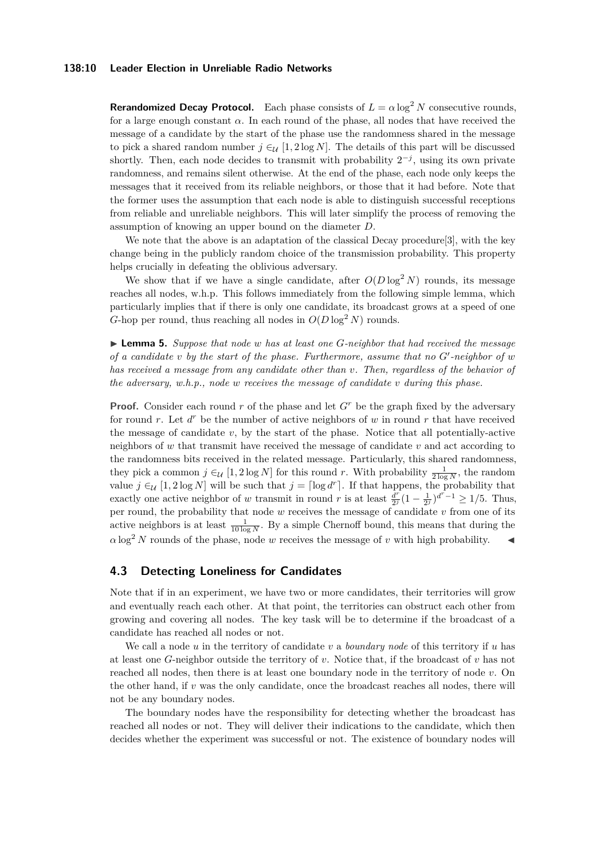#### **138:10 Leader Election in Unreliable Radio Networks**

**Rerandomized Decay Protocol.** Each phase consists of  $L = \alpha \log^2 N$  consecutive rounds, for a large enough constant  $\alpha$ . In each round of the phase, all nodes that have received the message of a candidate by the start of the phase use the randomness shared in the message to pick a shared random number  $j \in \mathcal{U} [1, 2 \log N]$ . The details of this part will be discussed shortly. Then, each node decides to transmit with probability  $2^{-j}$ , using its own private randomness, and remains silent otherwise. At the end of the phase, each node only keeps the messages that it received from its reliable neighbors, or those that it had before. Note that the former uses the assumption that each node is able to distinguish successful receptions from reliable and unreliable neighbors. This will later simplify the process of removing the assumption of knowing an upper bound on the diameter *D*.

We note that the above is an adaptation of the classical Decay procedure [\[3\]](#page-12-7), with the key change being in the publicly random choice of the transmission probability. This property helps crucially in defeating the oblivious adversary.

We show that if we have a single candidate, after  $O(D \log^2 N)$  rounds, its message reaches all nodes, w.h.p. This follows immediately from the following simple lemma, which particularly implies that if there is only one candidate, its broadcast grows at a speed of one *G*-hop per round, thus reaching all nodes in  $O(D \log^2 N)$  rounds.

<span id="page-9-1"></span>I **Lemma 5.** *Suppose that node w has at least one G-neighbor that had received the message of a candidate*  $v$  *by the start of the phase. Furthermore, assume that no*  $G'$ -neighbor of  $w$ *has received a message from any candidate other than v. Then, regardless of the behavior of the adversary, w.h.p., node w receives the message of candidate v during this phase.*

**Proof.** Consider each round *r* of the phase and let  $G<sup>r</sup>$  be the graph fixed by the adversary for round  $r$ . Let  $d^r$  be the number of active neighbors of  $w$  in round  $r$  that have received the message of candidate  $v$ , by the start of the phase. Notice that all potentially-active neighbors of *w* that transmit have received the message of candidate *v* and act according to the randomness bits received in the related message. Particularly, this shared randomness, they pick a common  $j \in_{\mathcal{U}} [1, 2 \log N]$  for this round *r*. With probability  $\frac{1}{2 \log N}$ , the random value  $j \in \mathcal{U}$  [1, 2 log *N*] will be such that  $j = \lceil \log d^r \rceil$ . If that happens, the probability that exactly one active neighbor of *w* transmit in round *r* is at least  $\frac{d^r}{dt^r}$  $\frac{d^r}{2^j}(1-\frac{1}{2^j})^{d^r-1} \ge 1/5$ . Thus, per round, the probability that node *w* receives the message of candidate *v* from one of its active neighbors is at least  $\frac{1}{10 \log N}$ . By a simple Chernoff bound, this means that during the  $\alpha \log^2 N$  rounds of the phase, node *w* receives the message of *v* with high probability.

## <span id="page-9-0"></span>**4.3 Detecting Loneliness for Candidates**

Note that if in an experiment, we have two or more candidates, their territories will grow and eventually reach each other. At that point, the territories can obstruct each other from growing and covering all nodes. The key task will be to determine if the broadcast of a candidate has reached all nodes or not.

We call a node *u* in the territory of candidate *v* a *boundary node* of this territory if *u* has at least one *G*-neighbor outside the territory of *v*. Notice that, if the broadcast of *v* has not reached all nodes, then there is at least one boundary node in the territory of node *v*. On the other hand, if *v* was the only candidate, once the broadcast reaches all nodes, there will not be any boundary nodes.

The boundary nodes have the responsibility for detecting whether the broadcast has reached all nodes or not. They will deliver their indications to the candidate, which then decides whether the experiment was successful or not. The existence of boundary nodes will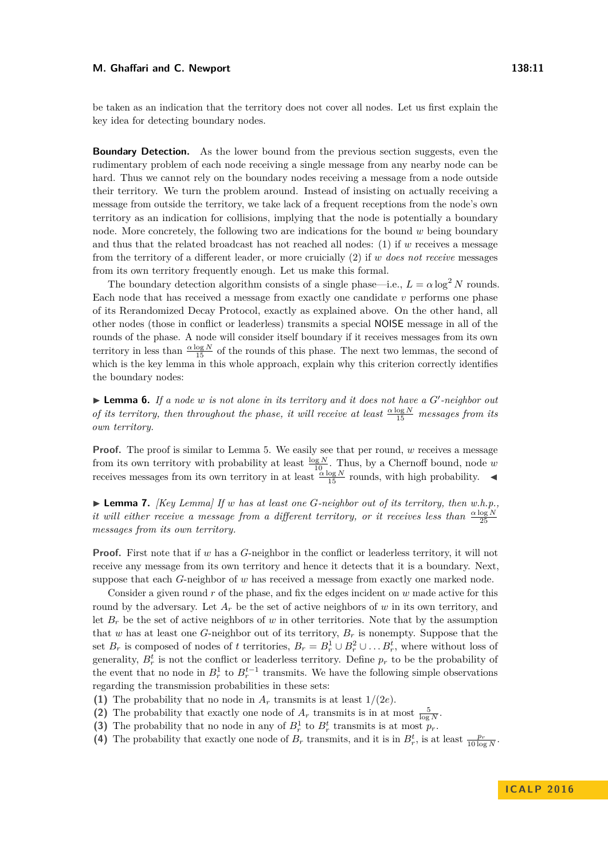#### **M. Ghaffari and C. Newport 138:11**

be taken as an indication that the territory does not cover all nodes. Let us first explain the key idea for detecting boundary nodes.

**Boundary Detection.** As the lower bound from the previous section suggests, even the rudimentary problem of each node receiving a single message from any nearby node can be hard. Thus we cannot rely on the boundary nodes receiving a message from a node outside their territory. We turn the problem around. Instead of insisting on actually receiving a message from outside the territory, we take lack of a frequent receptions from the node's own territory as an indication for collisions, implying that the node is potentially a boundary node. More concretely, the following two are indications for the bound *w* being boundary and thus that the related broadcast has not reached all nodes: (1) if *w* receives a message from the territory of a different leader, or more cruicially (2) if *w does not receive* messages from its own territory frequently enough. Let us make this formal.

The boundary detection algorithm consists of a single phase—i.e.,  $L = \alpha \log^2 N$  rounds. Each node that has received a message from exactly one candidate *v* performs one phase of its Rerandomized Decay Protocol, exactly as explained above. On the other hand, all other nodes (those in conflict or leaderless) transmits a special NOISE message in all of the rounds of the phase. A node will consider itself boundary if it receives messages from its own territory in less than  $\frac{\alpha \log N}{15}$  of the rounds of this phase. The next two lemmas, the second of which is the key lemma in this whole approach, explain why this criterion correctly identifies the boundary nodes:

 $\blacktriangleright$  **Lemma 6.** If a node *w* is not alone in its territory and it does not have a  $G'$ -neighbor out *of its territory, then throughout the phase, it will receive at least*  $\frac{\alpha \log N}{15}$  *messages from its own territory.*

**Proof.** The proof is similar to Lemma [5.](#page-9-1) We easily see that per round, *w* receives a message from its own territory with probability at least  $\frac{\log N}{10}$ . Thus, by a Chernoff bound, node *w* receives messages from its own territory in at least  $\frac{\alpha \log N}{15}$  rounds, with high probability.

<span id="page-10-0"></span> $\blacktriangleright$  **Lemma 7.** *[Key Lemma] If w has at least one G-neighbor out of its territory, then w.h.p.*, *it will either receive a message from a different territory, or it receives less than*  $\frac{\alpha \log N}{25}$ *messages from its own territory.*

**Proof.** First note that if *w* has a *G*-neighbor in the conflict or leaderless territory, it will not receive any message from its own territory and hence it detects that it is a boundary. Next, suppose that each *G*-neighbor of *w* has received a message from exactly one marked node.

Consider a given round *r* of the phase, and fix the edges incident on *w* made active for this round by the adversary. Let  $A_r$  be the set of active neighbors of *w* in its own territory, and let  $B_r$  be the set of active neighbors of *w* in other territories. Note that by the assumption that *w* has at least one *G*-neighbor out of its territory,  $B_r$  is nonempty. Suppose that the set  $B_r$  is composed of nodes of t territories,  $B_r = B_r^1 \cup B_r^2 \cup \dots B_r^t$ , where without loss of generality,  $B_r^t$  is not the conflict or leaderless territory. Define  $p_r$  to be the probability of the event that no node in  $B_r^1$  to  $B_r^{t-1}$  transmits. We have the following simple observations regarding the transmission probabilities in these sets:

- **(1)** The probability that no node in  $A_r$  transmits is at least  $1/(2e)$ .
- (2) The probability that exactly one node of  $A_r$  transmits is in at most  $\frac{5}{\log N}$ .
- (3) The probability that no node in any of  $B_r^1$  to  $B_r^t$  transmits is at most  $p_r$ .
- (4) The probability that exactly one node of  $B_r$  transmits, and it is in  $B_r^t$ , is at least  $\frac{p_r}{10 \log N}$ .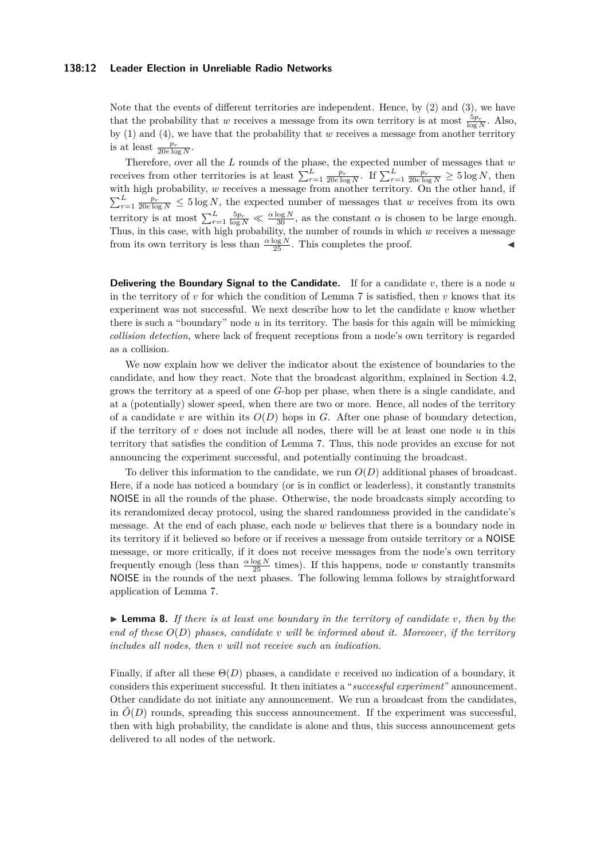#### **138:12 Leader Election in Unreliable Radio Networks**

Note that the events of different territories are independent. Hence, by (2) and (3), we have that the probability that *w* receives a message from its own territory is at most  $\frac{5p_r}{\log N}$ . Also, by (1) and (4), we have that the probability that *w* receives a message from another territory is at least  $\frac{p_r}{20e \log N}$ .

Therefore, over all the *L* rounds of the phase, the expected number of messages that *w* receives from other territories is at least  $\sum_{r=1}^{L} \frac{p_r}{20e \log N}$ . If  $\sum_{r=1}^{L} \frac{p_r}{20e \log N} \ge 5 \log N$ , then with high probability, *w* receives a message from another territory. On the other hand, if  $\sum_{r=1}^{L} \frac{p_r}{20e \log N} \leq 5 \log N$ , the expected number of messages that *w* receives from its own territory is at most  $\sum_{r=1}^{L} \frac{5p_r}{\log N} \ll \frac{\alpha \log N}{30}$ , as the constant  $\alpha$  is chosen to be large enough. Thus, in this case, with high probability, the number of rounds in which *w* receives a message from its own territory is less than  $\frac{\alpha \log N}{25}$ . This completes the proof.

**Delivering the Boundary Signal to the Candidate.** If for a candidate *v*, there is a node *u* in the territory of  $v$  for which the condition of Lemma [7](#page-10-0) is satisfied, then  $v$  knows that its experiment was not successful. We next describe how to let the candidate *v* know whether there is such a "boundary" node *u* in its territory. The basis for this again will be mimicking *collision detection*, where lack of frequent receptions from a node's own territory is regarded as a collision.

We now explain how we deliver the indicator about the existence of boundaries to the candidate, and how they react. Note that the broadcast algorithm, explained in Section [4.2,](#page-8-0) grows the territory at a speed of one *G*-hop per phase, when there is a single candidate, and at a (potentially) slower speed, when there are two or more. Hence, all nodes of the territory of a candidate *v* are within its  $O(D)$  hops in *G*. After one phase of boundary detection, if the territory of *v* does not include all nodes, there will be at least one node *u* in this territory that satisfies the condition of Lemma [7.](#page-10-0) Thus, this node provides an excuse for not announcing the experiment successful, and potentially continuing the broadcast.

To deliver this information to the candidate, we run *O*(*D*) additional phases of broadcast. Here, if a node has noticed a boundary (or is in conflict or leaderless), it constantly transmits NOISE in all the rounds of the phase. Otherwise, the node broadcasts simply according to its rerandomized decay protocol, using the shared randomness provided in the candidate's message. At the end of each phase, each node *w* believes that there is a boundary node in its territory if it believed so before or if receives a message from outside territory or a NOISE message, or more critically, if it does not receive messages from the node's own territory frequently enough (less than  $\frac{\alpha \log N}{25}$  times). If this happens, node *w* constantly transmits NOISE in the rounds of the next phases. The following lemma follows by straightforward application of Lemma [7.](#page-10-0)

 $\triangleright$  **Lemma 8.** If there is at least one boundary in the territory of candidate v, then by the *end of these O*(*D*) *phases, candidate v will be informed about it. Moreover, if the territory includes all nodes, then v will not receive such an indication.*

Finally, if after all these Θ(*D*) phases, a candidate *v* received no indication of a boundary, it considers this experiment successful. It then initiates a "*successful experiment*" announcement. Other candidate do not initiate any announcement. We run a broadcast from the candidates, in  $\tilde{O}(D)$  rounds, spreading this success announcement. If the experiment was successful, then with high probability, the candidate is alone and thus, this success announcement gets delivered to all nodes of the network.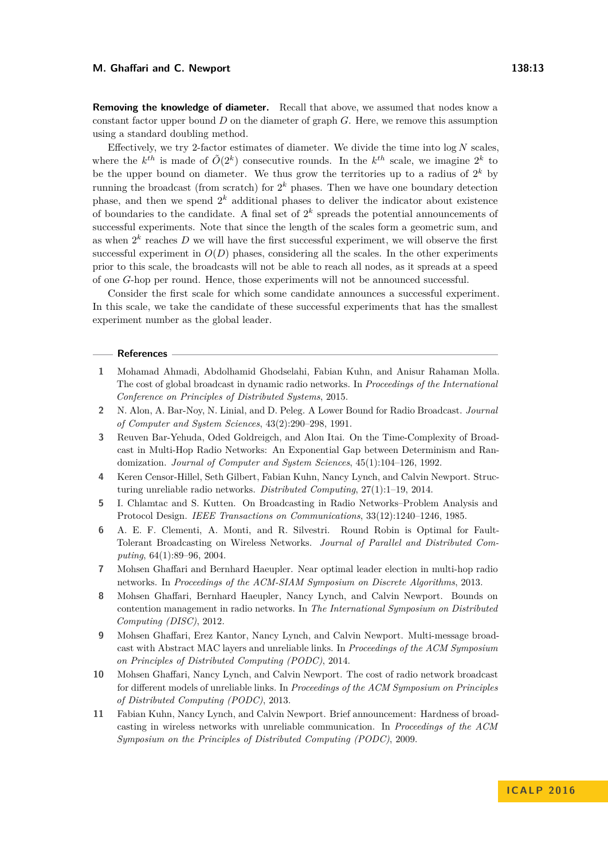**Removing the knowledge of diameter.** Recall that above, we assumed that nodes know a constant factor upper bound *D* on the diameter of graph *G*. Here, we remove this assumption using a standard doubling method.

Effectively, we try 2-factor estimates of diameter. We divide the time into  $\log N$  scales, where the  $k^{th}$  is made of  $\tilde{O}(2^k)$  consecutive rounds. In the  $k^{th}$  scale, we imagine  $2^k$  to be the upper bound on diameter. We thus grow the territories up to a radius of  $2^k$  by running the broadcast (from scratch) for  $2^k$  phases. Then we have one boundary detection phase, and then we spend  $2^k$  additional phases to deliver the indicator about existence of boundaries to the candidate. A final set of  $2^k$  spreads the potential announcements of successful experiments. Note that since the length of the scales form a geometric sum, and as when  $2^k$  reaches  $D$  we will have the first successful experiment, we will observe the first successful experiment in  $O(D)$  phases, considering all the scales. In the other experiments prior to this scale, the broadcasts will not be able to reach all nodes, as it spreads at a speed of one *G*-hop per round. Hence, those experiments will not be announced successful.

Consider the first scale for which some candidate announces a successful experiment. In this scale, we take the candidate of these successful experiments that has the smallest experiment number as the global leader.

#### **References**

- <span id="page-12-4"></span>**1** Mohamad Ahmadi, Abdolhamid Ghodselahi, Fabian Kuhn, and Anisur Rahaman Molla. The cost of global broadcast in dynamic radio networks. In *Proceedings of the International Conference on Principles of Distributed Systems*, 2015.
- <span id="page-12-9"></span>**2** N. Alon, A. Bar-Noy, N. Linial, and D. Peleg. A Lower Bound for Radio Broadcast. *Journal of Computer and System Sciences*, 43(2):290–298, 1991.
- <span id="page-12-7"></span>**3** Reuven Bar-Yehuda, Oded Goldreigch, and Alon Itai. On the Time-Complexity of Broadcast in Multi-Hop Radio Networks: An Exponential Gap between Determinism and Randomization. *Journal of Computer and System Sciences*, 45(1):104–126, 1992.
- <span id="page-12-0"></span>**4** Keren Censor-Hillel, Seth Gilbert, Fabian Kuhn, Nancy Lynch, and Calvin Newport. Structuring unreliable radio networks. *Distributed Computing*, 27(1):1–19, 2014.
- <span id="page-12-6"></span>**5** I. Chlamtac and S. Kutten. On Broadcasting in Radio Networks–Problem Analysis and Protocol Design. *IEEE Transactions on Communications*, 33(12):1240–1246, 1985.
- <span id="page-12-10"></span>**6** A. E. F. Clementi, A. Monti, and R. Silvestri. Round Robin is Optimal for Fault-Tolerant Broadcasting on Wireless Networks. *Journal of Parallel and Distributed Computing*, 64(1):89–96, 2004.
- <span id="page-12-5"></span>**7** Mohsen Ghaffari and Bernhard Haeupler. Near optimal leader election in multi-hop radio networks. In *Proceedings of the ACM-SIAM Symposium on Discrete Algorithms*, 2013.
- <span id="page-12-1"></span>**8** Mohsen Ghaffari, Bernhard Haeupler, Nancy Lynch, and Calvin Newport. Bounds on contention management in radio networks. In *The International Symposium on Distributed Computing (DISC)*, 2012.
- <span id="page-12-3"></span>**9** Mohsen Ghaffari, Erez Kantor, Nancy Lynch, and Calvin Newport. Multi-message broadcast with Abstract MAC layers and unreliable links. In *Proceedings of the ACM Symposium on Principles of Distributed Computing (PODC)*, 2014.
- <span id="page-12-2"></span>**10** Mohsen Ghaffari, Nancy Lynch, and Calvin Newport. The cost of radio network broadcast for different models of unreliable links. In *Proceedings of the ACM Symposium on Principles of Distributed Computing (PODC)*, 2013.
- <span id="page-12-8"></span>**11** Fabian Kuhn, Nancy Lynch, and Calvin Newport. Brief announcement: Hardness of broadcasting in wireless networks with unreliable communication. In *Proceedings of the ACM Symposium on the Principles of Distributed Computing (PODC)*, 2009.